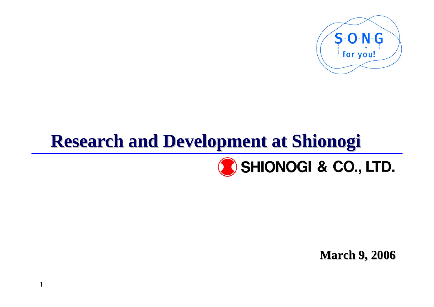

## **Research and Development at Shionogi Research and Development at Shionogi**

1



**March 9, 2006 March 9, 2006**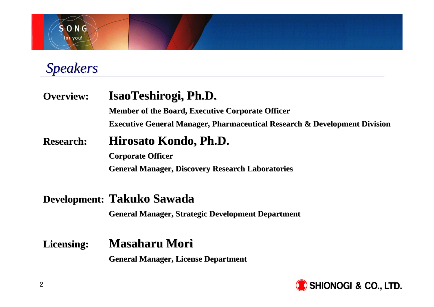

*Speakers Speakers*

**Overview: Overview: IsaoTeshirogi, Ph.D. IsaoTeshirogi, Ph.D. Member of the Board, Executive Corporate Officer Executive General Manager, Pharmaceutical Research & Development Division Research: Hirosato Kondo, Ph.D. Corporate Officer Corporate Officer General Manager, Discovery Research Laboratories General Manager, Discovery Research Laboratories**

#### **Development: Takuko Sawada**

**General Manager, Strategic Development Department General Manager, Strategic Development Department**

### Licensing: **Masaharu Mori**

**General Manager, License Department General License Department**

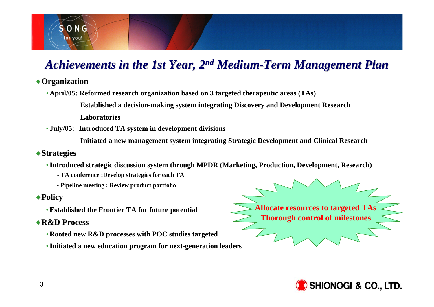### *Achievements in the 1st Year, 2<sup>nd</sup> Medium-Term Management Plan*

#### ♦**Organization Organization**

 $S$  O N G for you!

•**April/05: Reformed research organization based on 3 targeted therapeutic areas (TAs)**

**Established a decision-making system integrating Discovery and Development Research** 

**Laboratories** 

• **July/05: Introduced TA system in development divisions**

**Initiated a new management system integrating Strategic Development and Clinical Research**

#### ♦**Strategies Strategies**

- •**Introduced strategic discussion system through MPDR (Marketing, Production, Development, Research)**
	- **- TA conference :Develop strategies for each TA**
	- **- Pipeline meeting : Review product portfolio**

#### ♦**Policy**

•**Established the Frontier TA for future potential**

#### ♦**R&D Process R&D Process**

- •**Rooted new R&D processes with POC studies targeted**
- •**Initiated a new education program for next-generation leaders**

**Allocate resources to targeted TAs Thorough control of milestones**

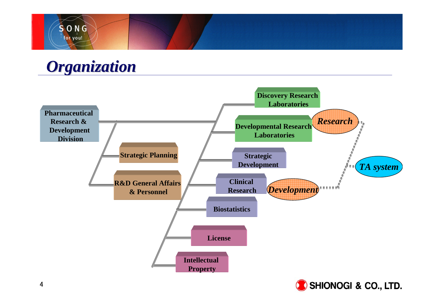

### *Organization Organization*

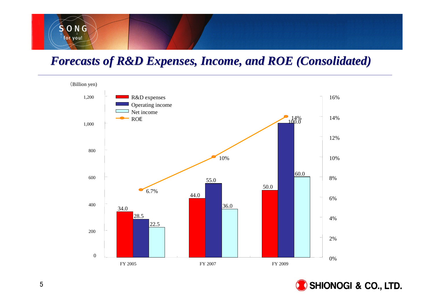## SONG for you!

### *Forecasts of R&D Expenses, Income, and ROE (Consolidated) Forecasts of R&D Expenses, Income, and ROE (Consolidated)*



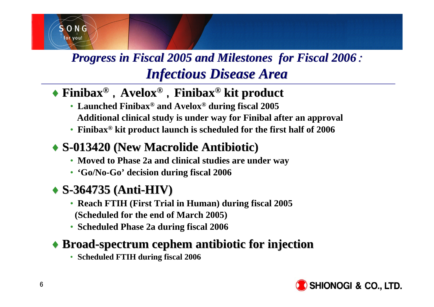

### *Progress in Fiscal 2005 and Milestones for Fiscal 2006 : Infectious Disease Area Infectious Disease Area*

### ◆ Finibax<sup>®</sup>, Avelox<sup>®</sup>, Finibax<sup>®</sup> kit product

- **Launched Finibax® and Avelox® during fiscal 2005 Additional clinical study is under way for Finibal after an approval**
- **Finibax® kit product launch is scheduled for the first half of 2006**

### ♦ **S-013420 (New Macrolide Antibiotic) 013420 (New Macrolide Antibiotic)**

- **Moved to Phase 2a and clinical studies are under way**
- **'Go/No-Go' decision during fiscal 2006**

### ♦ **S-364735 ( 364735 (Anti-HIV)**

- **Reach FTIH (First Trial in Human) during fiscal 2005 (Scheduled for the end of March 2005)**
- **Scheduled Phase 2a during fiscal 2006**

### ♦ **Broad-spectrum cephem antibiotic for injection spectrum cephem antibiotic for injection**

• **Scheduled FTIH during fiscal 2006**

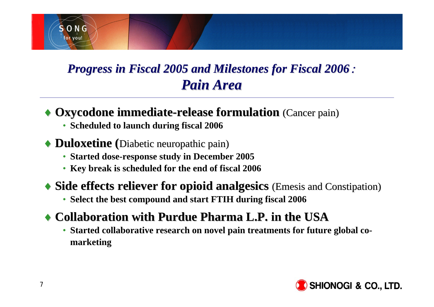

### *Progress in Fiscal 2005 and Milestones for Fiscal 2006 Progress in Fiscal 2005 and Milestones for Fiscal 2006*: *Pain Area Pain Area*

### $\rightarrow$  Oxycodone immediate-release formulation (Cancer pain)

• **Scheduled to launch during fiscal 2006**

### $\rightarrow$  **Duloxetine** (Diabetic neuropathic pain)

- **Started dose-response study in December 2005**
- **Key break is scheduled for the end of fiscal 2006**

### $\blacklozenge$  **Side effects reliever for opioid analgesics** (Emesis and Constipation)

• **Select the best compound and start FTIH during fiscal 2006**

### ♦ **Collaboration with Purdue Pharma L.P. in the USA Collaboration with Purdue Pharma L.P. in the USA**

• **Started collaborative research on novel pain treatments for future global comarketing**

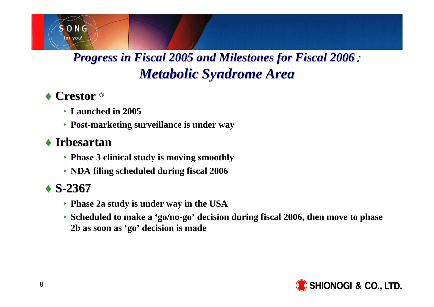### *Progress in Fiscal 2005 and Milestones for Fiscal 2006 Progress in Fiscal 2005 and Milestones for Fiscal 2006*: *Metabolic Syndrome Area Metabolic Syndrome Area*

### ◆ Crestor ®

 $S$  O N G for you!

- **Launched in 2005**
- **Post-marketing surveillance is under way**

### ♦ **Irbesartan Irbesartan**

- **Phase 3 clinical study is moving smoothly**
- **NDA filing scheduled during fiscal 2006**

### ♦ **S-2367**

- **Phase 2a study is under way in the USA**
- **Scheduled to make a 'go/no-go' decision during fiscal 2006, then move to phase 2b as soon as 'go' decision is made**

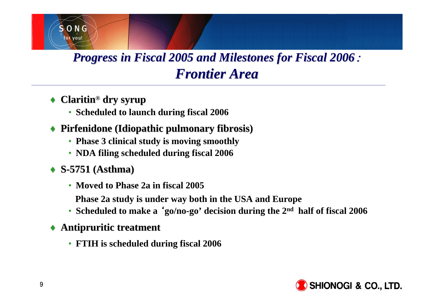### *Progress in Fiscal 2005 and Milestones for Fiscal 2006 : Frontier Area Frontier Area*

◆ **Claritin**<sup>®</sup> dry syrup

 $S$  O N G for you!

- **Scheduled to launch during fiscal 2006**
- ♦ **Pirfenidone (Idiopathic pulmonary fibrosis) Pirfenidone (Idiopathic pulmonary fibrosis)** 
	- **Phase 3 clinical study is moving smoothly**
	- **NDA filing scheduled during fiscal 2006**
- ♦ **S-5751 (Asthma) 5751 (Asthma)**
	- **Moved to Phase 2a in fiscal 2005**
	- **Phase 2a study is under way both in the USA and Europe**
	- **Scheduled to make a** '**go/no-go' decision during the 2nd half of fiscal 2006**
- ♦ **Antipruritic treatment Antipruritic treatment**
	- **FTIH is scheduled during fiscal 2006**

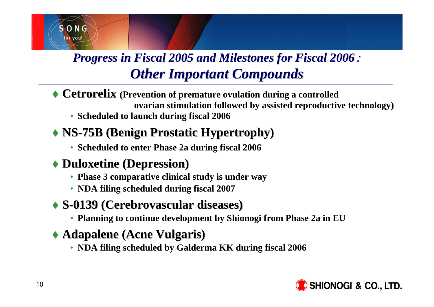

### *Progress in Fiscal 2005 and Milestones for Fiscal 2006 : Other Important Compounds Other Important Compounds*

- ◆ **Cetrorelix** (Prevention of premature ovulation during a controlled **ovarian stimulation followed by assisted reproductive technology)**
	- **Scheduled to launch during fiscal 2006**

### ♦ **NS-75B (Benign Prostatic Hypertrophy) 75B (Benign Prostatic Hypertrophy)**

• **Scheduled to enter Phase 2a during fiscal 2006**

### ♦ **Duloxetine (Depression) Duloxetine (Depression)**

- **Phase 3 comparative clinical study is under way**
- **NDA filing scheduled during fiscal 2007**

### ♦ **S-0139 (Cerebrovascular diseases) (Cerebrovascular diseases)**

• **Planning to continue development by Shionogi from Phase 2a in EU**

### ♦ **Adapalene Adapalene (Acne Vulgaris) (Acne Vulgaris)**

• **NDA filing scheduled by Galderma KK during fiscal 2006**

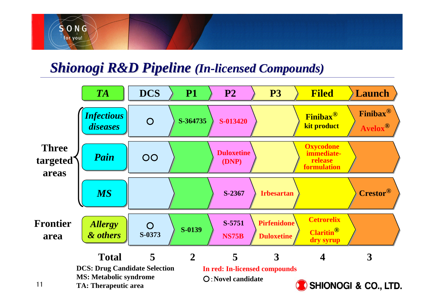

### **Shionogi R&D Pipeline (In-licensed Compounds)**

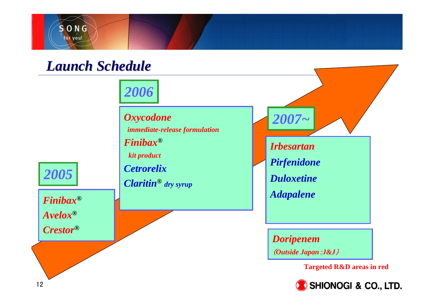

### *Launch Schedule Launch Schedule*

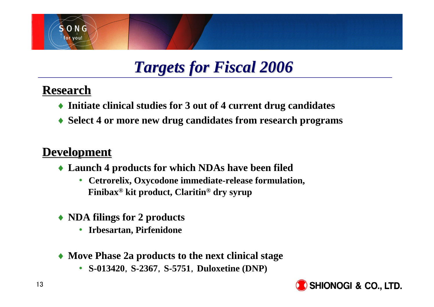

## *Targets for Fiscal 2006 Targets for Fiscal 2006*

### **Research Research**

- ♦ **Initiate clinical studies for 3 out of 4 current drug candidates**
- ♦ **Select 4 or more new drug candidates from research programs**

### **Development Development**

- ♦ **Launch 4 products for which NDAs have been filed**
	- $\bullet$  **Cetrorelix, Oxycodone immediate-release formulation, Finibax® kit product, Claritin® dry syrup**
- ♦ **NDA filings for 2 products**
	- $\bullet$ **Irbesartan, Pirfenidone**
- ♦ **Move Phase 2a products to the next clinical stage**
	- **S-013420**,**S-2367**,**S-5751**,**Duloxetine (DNP)**

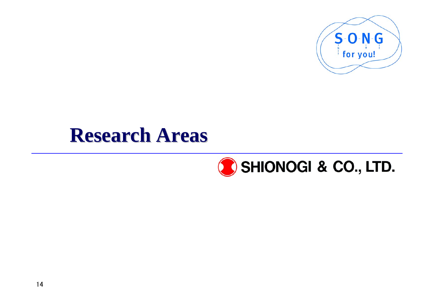

## **Research Areas Research Areas**

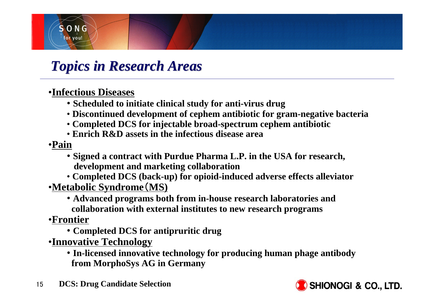

### *Topics in Research Areas Topics in Research Areas*

### •**Infectious Diseases**

- **Scheduled to initiate clinical study for anti-virus drug**
- **Discontinued development of cephem antibiotic for gram-negative bacteria**
- **Completed DCS for injectable broad-spectrum cephem antibiotic**
- **Enrich R&D assets in the infectious disease area**

#### •**Pain**

- **Signed a contract with Purdue Pharma L.P. in the USA for research, development and marketing collaboration**
- **Completed DCS (back-up) for opioid-induced adverse effects alleviator** •**Metabolic Syndrome**(**MS)**
	- **Advanced programs both from in-house research laboratories and collaboration with external institutes to new research programs**

#### •**Frontier**

- **Completed DCS for antipruritic drug**
- •**Innovative Technology**
	- **In-licensed innovative technology for producing human phage antibody from MorphoSys AG in Germany**
- 15**DCS: Drug Candidate Selection**

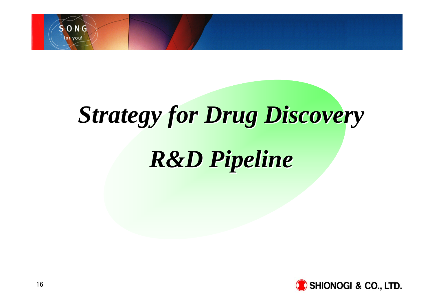

# *Strategy for Drug Discovery Strategy for Drug Discovery*

# *R&D Pipeline R&D Pipeline*

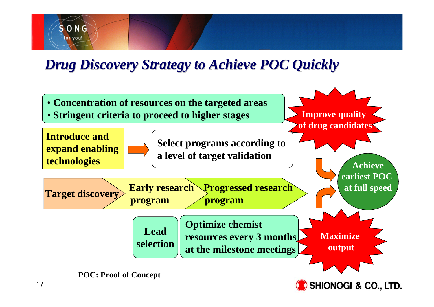## *Drug Discovery Strategy to Achieve POC Quickly Drug Discovery Strategy to Achieve POC Quickly*

 $S$  O N G for you!

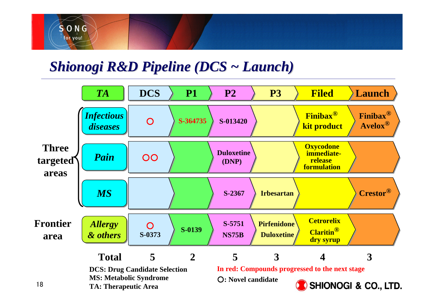

### *Shionogi R&D Pipeline (DCS ~ Launch)*

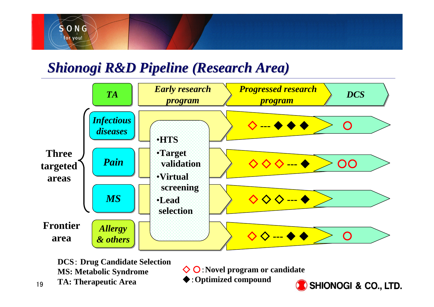

### *Shionogi R&D Pipeline (Research Area) Shionogi R&D Pipeline (Research Area)*



**DCS**: **Drug Candidate Selection MS: Metabolic Syndrome TA: Therapeutic Area**

◇ ○:**Novel program or candidate**

◆:**Optimized compound** 

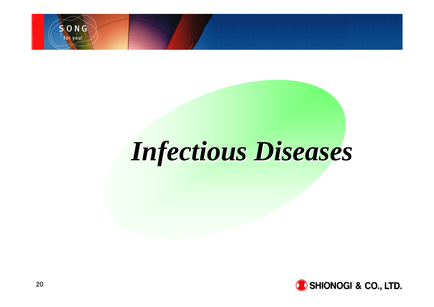

# *Infectious Diseases Infectious Diseases*

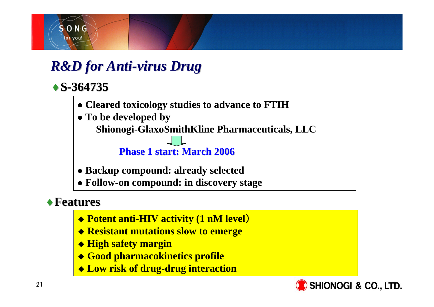

### *R&D for Anti-virus Drug*

### ♦**S-364735**

- **Cleared toxicology studies to advance to FTIH**
- To be developed by **Shionogi-GlaxoSmithKline Pharmaceuticals, LLC**

### **Phase 1 start: March 200 1 start: March 2006**

- **Backup compound: already selected**
- z **Follow-on compound: in discovery stage**

### ♦**Features Features**

- **Potent anti-HIV activity (1 nM level**)
- **Resistant mutations slow to emerge**
- **High safety margin**
- **Good pharmacokinetics profile**
- **Low risk of drug-drug interaction**

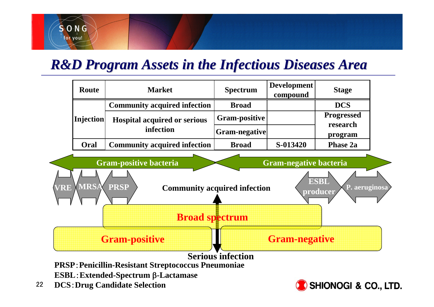### *R&D Program Assets in the Infectious Diseases Area*



- **ESBL**:**Extended-Spectrum** β**-Lactamase**
- 22**DCS**:**Drug Candidate Selection**

 $S$  O N G for you!

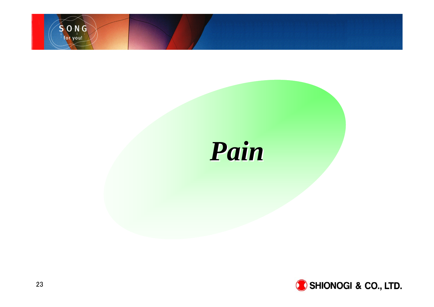

# *Pain*

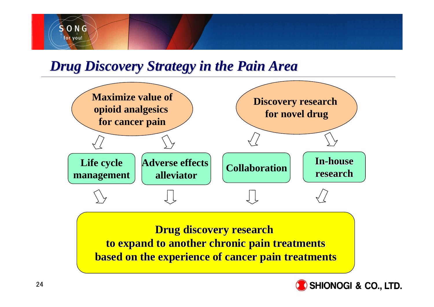

### *Drug Discovery Strategy in the Pain Area Drug Discovery Strategy in the Pain Area*



**Drug discovery research Drug discovery research to expand to another chronic pain treatments to expand to another chronic pain treatments based on the experience of cancer pain treatments based on the experience of cancer pain treatments**

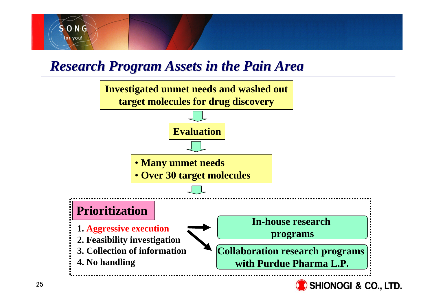

### *Research Program Assets in the Pain Area Research Program Assets in the Pain Area*



25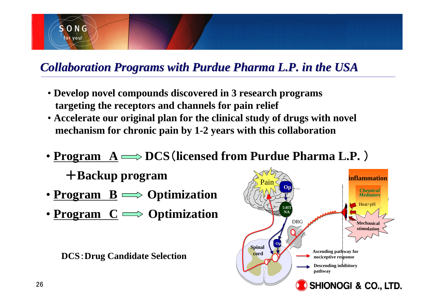

### *Collaboration Programs with Purdue Pharma L.P. in the USA Collaboration Programs with Purdue Pharma L.P. in the USA*

- **Develop novel compounds discovered in 3 research programs targeting the receptors and channels for pain relief**
- **Accelerate our original plan for the clinical study of drugs with novel mechanism for chronic pain by 1-2 years with this collaboration**
- **Program <sup>A</sup> DCS**(**licensed from Purdue Pharma L.P.** )
	- +**Backup program**
- **Program B Optimization**
- **Program C Optimization**

**DCS**:**Drug Candidate Selection**

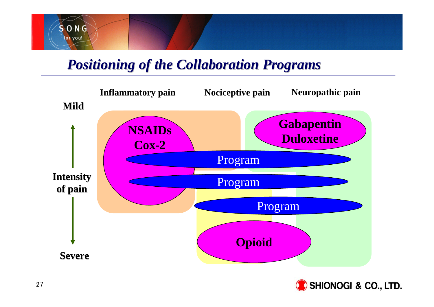

### *Positioning of the Collaboration Programs Positioning of the Collaboration Programs*

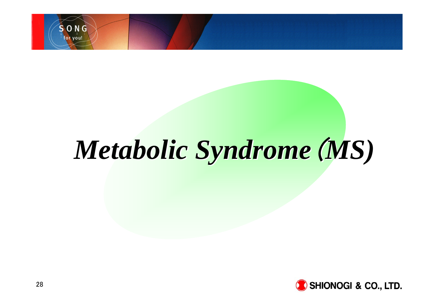

# *Metabolic Syndrome Metabolic Syndrome*(*MS)*

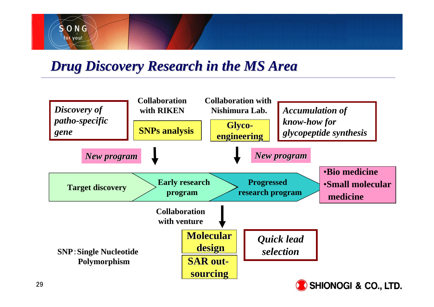

### *Drug Discovery Research in the MS Area Drug Discovery Research in the MS Area*

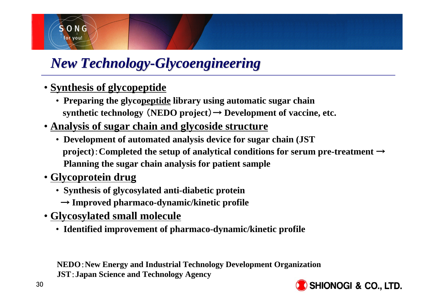

### *New Technology-Glycoengineering*

- **Synthesis of glycopeptide**
	- **Preparing the glycopeptide library using automatic sugar chain**  synthetic technology  $(NEDO project) \rightarrow Development of vaccine, etc.$
- **Analysis of sugar chain and glycoside structure**
	- **Development of automated analysis device for sugar chain (JST project)**:**Completed the setup of analytical conditions for serum pre-treatment** <sup>→</sup> **Planning the sugar chain analysis for patient sample**
- **Glycoprotein drug**
	- **Synthesis of glycosylated anti-diabetic protein**
		- → **Improved pharmaco-dynamic/kinetic profile**
- **Glycosylated small molecule**
	- **Identified improvement of pharmaco-dynamic/kinetic profile**

**NEDO**:**New Energy and Industrial Technology Development Organization JST**:**Japan Science and Technology Agency**

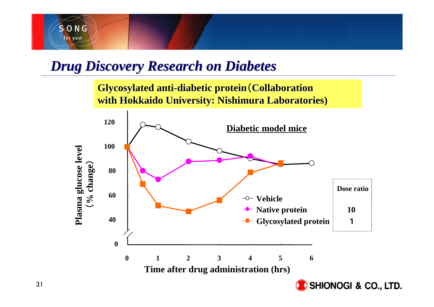

### *Drug Discovery Research on Diabetes Drug Discovery Research on Diabetes*

**Glycosylated anti-diabetic protein (Collaboration with Hokkaido University: Nishimura Laboratories) with Hokkaido University: Nishimura Laboratories)**

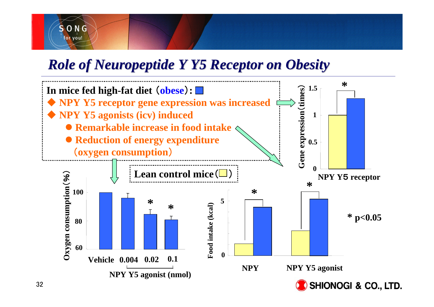

### *Role of Neuropeptide Y Y5 Receptor on Obesity*

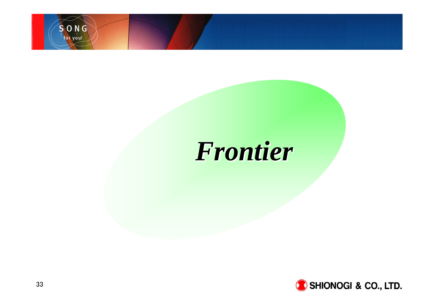

## *Frontier Frontier*

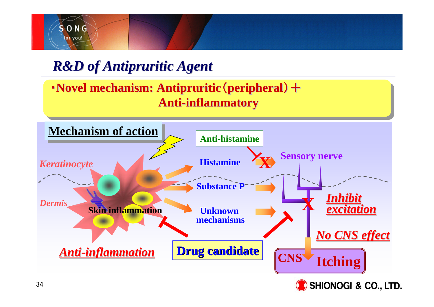

### *R&D of Antipruritic Agent R&D of Antipruritic Agent*

**• Novel mechanism: Antipruritic** (**peripheral**) + **Anti-inflammatory inflammatory**

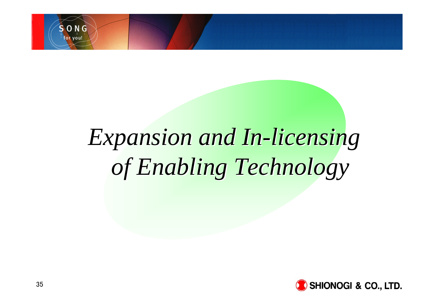

# *Expansion and In-licensing Expansion and In-licensing of Enabling Technology of Enabling Technology*

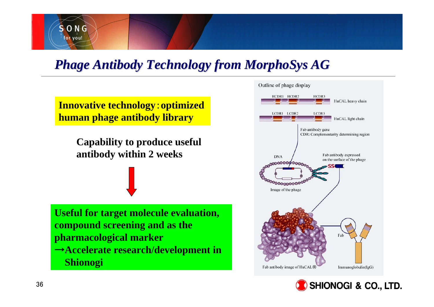

### *Phage Antibody Technology from MorphoSys AG Phage Antibody Technology from MorphoSys AG*

**Innovative technology**:**optimized human phage antibody library** 

> **Capability to produce useful antibody within 2 weeks**

**Useful for target molecule evaluation, compound screening and as the pharmacological marker** <sup>→</sup>**Accelerate research/development in Shionogi**



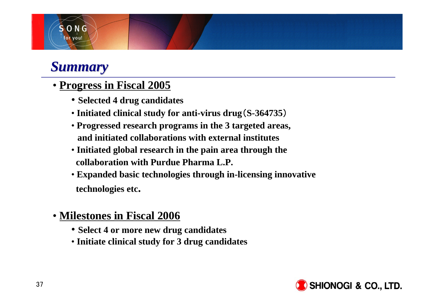### *Summary Summary*

 $S$  O N G for you!

#### • **Progress in Fiscal 2005**

- **Selected 4 drug candidates**
- **Initiated clinical study for anti-virus drug**(**S-364735**)
- **Progressed research programs in the 3 targeted areas, and initiated collaborations with external institutes**
- **Initiated global research in the pain area through the collaboration with Purdue Pharma L.P.**
- **Expanded basic technologies through in-licensing innovative technologies etc.**
- **Milestones in Fiscal 2006**
	- **Select 4 or more new drug candidates**
	- **Initiate clinical study for 3 drug candidates**

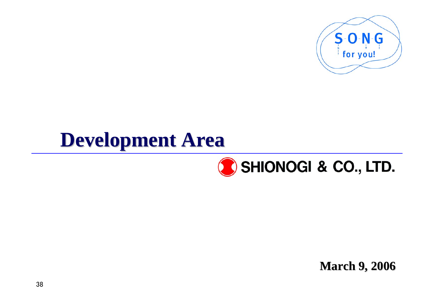

# **Development Area Development Area**



**March 9, 2006 March 9, 2006**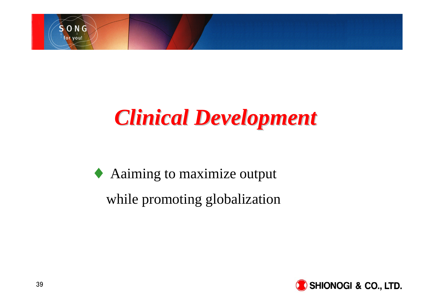

# *Clinical Development Clinical Development*

♦ Aaiming to maximize output while promoting globalization

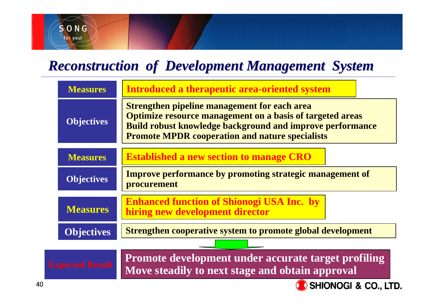# *Reconstruction of Development Management System Reconstruction of Development Management System*

| <b>Measures</b>                                                                                                                 | Introduced a therapeutic area-oriented system                                                                                                                                                                                                  |  |  |  |  |  |  |
|---------------------------------------------------------------------------------------------------------------------------------|------------------------------------------------------------------------------------------------------------------------------------------------------------------------------------------------------------------------------------------------|--|--|--|--|--|--|
| <b>Objectives</b>                                                                                                               | <b>Strengthen pipeline management for each area</b><br><b>Optimize resource management on a basis of targeted areas</b><br>Build robust knowledge background and improve performance<br><b>Promote MPDR cooperation and nature specialists</b> |  |  |  |  |  |  |
| <b>Measures</b>                                                                                                                 | <b>Established a new section to manage CRO</b>                                                                                                                                                                                                 |  |  |  |  |  |  |
| <b>Objectives</b>                                                                                                               | <b>Improve performance by promoting strategic management of</b><br>procurement                                                                                                                                                                 |  |  |  |  |  |  |
| <b>Measures</b>                                                                                                                 | <b>Enhanced function of Shionogi USA Inc. by</b><br>hiring new development director                                                                                                                                                            |  |  |  |  |  |  |
| <b>Objectives</b>                                                                                                               | <b>Strengthen cooperative system to promote global development</b>                                                                                                                                                                             |  |  |  |  |  |  |
|                                                                                                                                 |                                                                                                                                                                                                                                                |  |  |  |  |  |  |
| Promote development under accurate target profiling<br><b>xpected Result</b><br>Move steadily to next stage and obtain approval |                                                                                                                                                                                                                                                |  |  |  |  |  |  |
| <b>SHIONOGI &amp; CO., LTD</b>                                                                                                  |                                                                                                                                                                                                                                                |  |  |  |  |  |  |

SONG for you!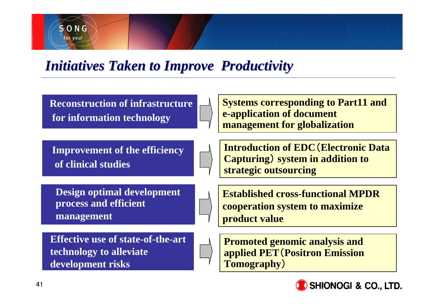

*Initiatives Taken to Improve Productivity* 

**Reconstruction of infrastructure for information technology**

**Systems corresponding to Part11 and e-application of document management for globalization**

**Improvement of the efficiency of clinical studies**

**Design optimal development process and efficient management**

**Effective use of state-of-the-art technology to alleviate development risks**

**Introduction of EDC**(**Electronic Data Capturing**) **system in addition to strategic outsourcing**

**Established cross-functional MPDR cooperation system to maximize product value**

**Promoted genomic analysis and applied PET**(**Positron Emission Tomography**)

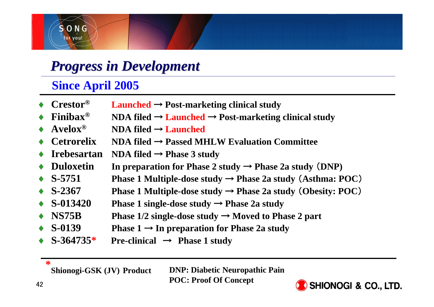

### *Progress in Development Progress in Development*

#### **Since April 2005**

♦ **Crestor® Launched** <sup>→</sup> **Post-marketing clinical study** ♦ $\triangle$  **Finibax**<sup>®</sup> **NDA filed → Launched → Post-marketing clinical study** ♦ **Avelox® NDA filed** <sup>→</sup> **Launched** ♦ **Cetrorelix NDA filed** <sup>→</sup> **Passed MHLW Evaluation Committee** ♦**Irebesartan NDA filed**  $\rightarrow$  **Phase 3 study** ♦**Duloxetin** In preparation for Phase 2 study  $\rightarrow$  Phase 2a study  $(DNP)$ ♦**S-5751 Phase 1 Multiple-dose study**  $\rightarrow$  **<b>Phase 2a study (Asthma: POC)** ♦**S-2367 Phase 1 Multiple-dose study**  $\rightarrow$  **<b>Phase 2a study (Obesity: POC)** ♦**S-013420 Phase 1 single-dose study**  $\rightarrow$  **<b>Phase 2a study** ♦**NS75B Phase 1/2 single-dose study**  $\rightarrow$  **Moved to Phase 2 part**  $\triangle$  S-0139 **S-0139 Phase 1** <sup>→</sup> **In preparation for Phase 2a study** ♦**S-364735\* Pre-clinical** <sup>→</sup> **Phase 1 study**

**\***

**Shionogi-GSK (JV) Product** 

**DNP: Diabetic Neuropathic Pain POC: Proof Of Concept**

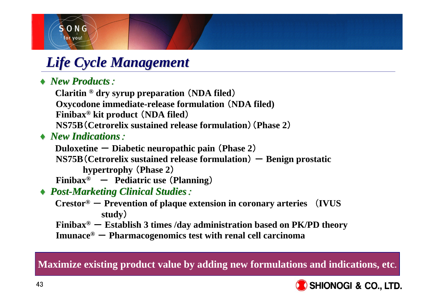

# *Life Cycle Management Life Cycle Management*

#### $\rightarrow$  *New Products*:

**Claritin ® dry syrup preparation** (**NDA filed**) **Oxycodone immediate-release formulation** (**NDA filed) Finibax® kit product** (**NDA filed**) **NS75B**(**Cetrorelix sustained release formulation**)(**Phase 2**)

♦ *New Indications New Indications*:

**Duloxetine** - **Diabetic neuropathic pain** (**Phase 2**)

 $NS75B$  (Cetrorelix sustained release formulation)  $-$  Benign prostatic **hypertrophy** (**Phase 2**)

**Finibax®** - **Pediatric use** (**Planning**)

- ♦ *Post-Marketing Clinical Studies Marketing Clinical Studies*:
	- **Crestor® Prevention of plaque extension in coronary arteries** (**IVUS study**)
	- **Finibax® Establish 3 times /day administration based on PK/PD theory**
	- **Imunace® Pharmacogenomics test with renal cell carcinoma**

**Maximize existing product value by adding new formulations and indications, etc**.

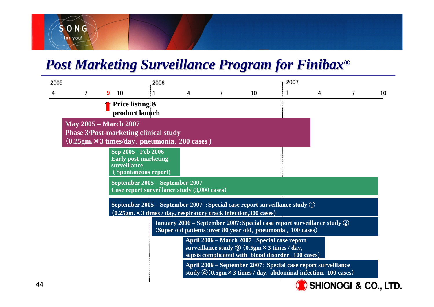# SONG for you!

## *Post Marketing Surveillance Program for Finibax Post Marketing Surveillance Program for Finibax®*

| 2005                                                                                                                          |                                                                                                                                                                        |   |    | 2006                                 |   |                |    | 2007 |   |   |    |
|-------------------------------------------------------------------------------------------------------------------------------|------------------------------------------------------------------------------------------------------------------------------------------------------------------------|---|----|--------------------------------------|---|----------------|----|------|---|---|----|
| 4                                                                                                                             | $\overline{7}$                                                                                                                                                         | 9 | 10 |                                      | 4 | $\overline{7}$ | 10 |      | 4 | 7 | 10 |
|                                                                                                                               |                                                                                                                                                                        |   |    | Price listing $\&$<br>product launch |   |                |    |      |   |   |    |
| <b>May 2005 – March 2007</b><br><b>Phase 3/Post-marketing clinical study</b><br>(0.25gm. × 3 times/day, pneumonia, 200 cases) |                                                                                                                                                                        |   |    |                                      |   |                |    |      |   |   |    |
|                                                                                                                               | Sep 2005 - Feb 2006<br><b>Early post-marketing</b><br>surveillance<br><b>Spontaneous report)</b>                                                                       |   |    |                                      |   |                |    |      |   |   |    |
|                                                                                                                               | September 2005 – September 2007<br>Case report surveillance study (3,000 cases)                                                                                        |   |    |                                      |   |                |    |      |   |   |    |
|                                                                                                                               | September 2005 - September 2007 : Special case report surveillance study $\textcircled{1}$<br>$(0.25gm. \times 3 times / day, respiratory track infection, 300 cases)$ |   |    |                                      |   |                |    |      |   |   |    |
|                                                                                                                               | January 2006 – September 2007: Special case report surveillance study $\circled{2}$<br>(Super old patients: over 80 year old, pneumonia, 100 cases)                    |   |    |                                      |   |                |    |      |   |   |    |
|                                                                                                                               | April 2006 – March 2007: Special case report<br>surveillance study $\circled{3}$ (0.5gm $\times$ 3 times / day,<br>sepsis complicated with blood disorder, 100 cases)  |   |    |                                      |   |                |    |      |   |   |    |
|                                                                                                                               | April 2006 - September 2007: Special case report surveillance<br>study $\mathcal{Q}(0.5gm \times 3 \text{ times}/\text{day})$ , abdominal infection, 100 cases)        |   |    |                                      |   |                |    |      |   |   |    |

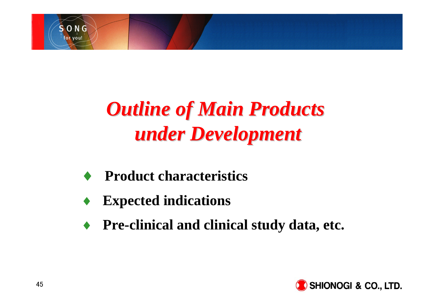

# *Outline of Main Products Outline of Main Products under Development under Development*

- ♦**Product characteristics**
- ♦**Expected indications**
- ♦**Pre-clinical and clinical study data, etc.**

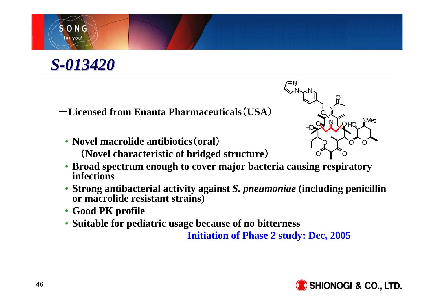



-**Licensed from Enanta Pharmaceuticals**(**USA**)

- **Novel macrolide antibiotics**(**oral**) (**Novel characteristic of bridged structure**)
- **Broad spectrum enough to cover major bacteria causing respiratory infections**
- **Strong antibacterial activity against** *S. pneumoniae* **(including penicillin or macrolide resistant strains)**
- **Good PK profile**
- **Suitable for pediatric usage because of no bitterness**

**Initiation of Phase 2 study: Dec, 2005**



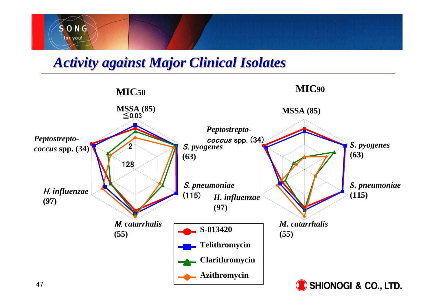

### *Activity against Major Clinical Isolates Activity against Major Clinical Isolates*

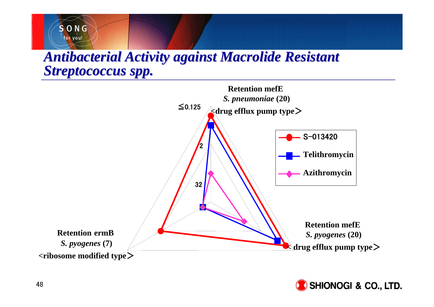### **Antibacterial Activity against Macrolide Resistant** *Streptococcus spp. Streptococcus spp.*





SONG for you!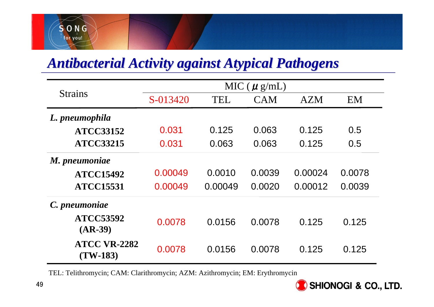# SONG for you!

# *Antibacterial Activity against Atypical Pathogens Antibacterial Activity against Atypical Pathogens*

|                                   |          |            | MIC ( $\mu$ g/mL) |            |           |
|-----------------------------------|----------|------------|-------------------|------------|-----------|
| <b>Strains</b>                    | S-013420 | <b>TEL</b> | <b>CAM</b>        | <b>AZM</b> | <b>EM</b> |
| L. pneumophila                    |          |            |                   |            |           |
| <b>ATCC33152</b>                  | 0.031    | 0.125      | 0.063             | 0.125      | 0.5       |
| <b>ATCC33215</b>                  | 0.031    | 0.063      | 0.063             | 0.125      | 0.5       |
| M. pneumoniae                     |          |            |                   |            |           |
| <b>ATCC15492</b>                  | 0.00049  | 0.0010     | 0.0039            | 0.00024    | 0.0078    |
| <b>ATCC15531</b>                  | 0.00049  | 0.00049    | 0.0020            | 0.00012    | 0.0039    |
| C. pneumoniae                     |          |            |                   |            |           |
| <b>ATCC53592</b><br>$(AR-39)$     | 0.0078   | 0.0156     | 0.0078            | 0.125      | 0.125     |
| <b>ATCC VR-2282</b><br>$(TW-183)$ | 0.0078   | 0.0156     | 0.0078            | 0.125      | 0.125     |

TEL: Telithromycin; CAM: Clarithromycin; AZM: Azithromycin; EM: Erythromycin

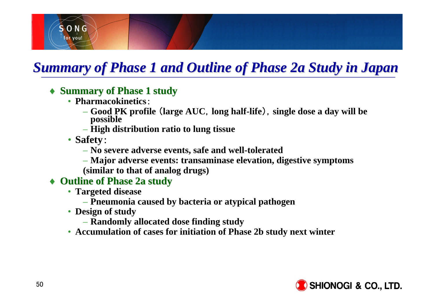

# *Summary of Phase 1 and Outline of Phase 2a Study in Japan Summary of Phase 1 and Outline of Phase 2a Study in Japan*

- ♦ **Summary of Phase 1 study Summary of Phase 1 study**
	- **Pharmacokinetics**:
		- **Good PK profile** (**large AUC**,**long half-life**),**single dose a day will be possible**
		- **High distribution ratio to lung tissue**
	- **Safety**:
		- **No severe adverse events, safe and well-tolerated**
		- **Major adverse events: transaminase elevation, digestive symptoms**
		- **(similar to that of analog drugs)**
- ◆ Outline of Phase 2a study
	- **Targeted disease**
		- **Pneumonia caused by bacteria or atypical pathogen**
	- **Design of study**
		- **Randomly allocated dose finding study**
	- **Accumulation of cases for initiation of Phase 2b study next winter**

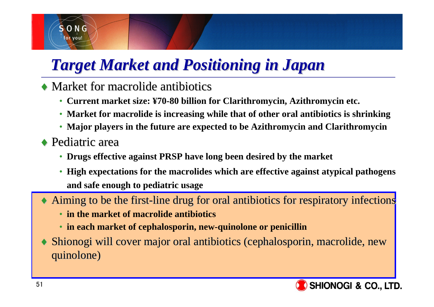# *Target Market and Positioning in Japan Target Market and Positioning in Japan*

- $\rightarrow$  Market for macrolide antibiotics
	- **Current market size: ¥70-80 billion for Clarithromycin, Azithromycin etc.**
	- **Market for macrolide is increasing while that of other oral antibiotics is shrinking**
	- **Major players in the future are expected to be Azithromycin and Clarithromycin**
- $\rightarrow$  Pediatric area

 $S$   $O$   $N$   $G$ for vou!

- **Drugs effective against PRSP have long been desired by the market**
- High expectations for the macrolides which are effective against atypical pathogens **and safe enough to pediatric usage**
- ♦Aiming to be the first-line drug for oral antibiotics for respiratory infections
	- **in the market of macrolide antibiotics**
	- **in each market of cephalosporin, new-quinolone or penicillin**
- ♦Shionogi will cover major oral antibiotics (cephalosporin, macrolide, new quinolone) quinolone)

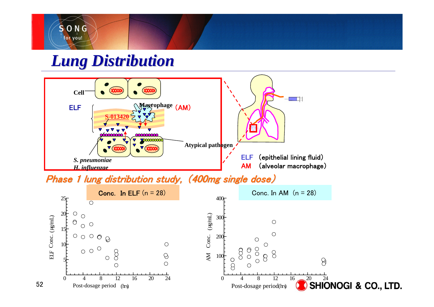

# *Lung Distribution Lung Distribution*

52



Phase 1 lung distribution study, (400mg single dose)

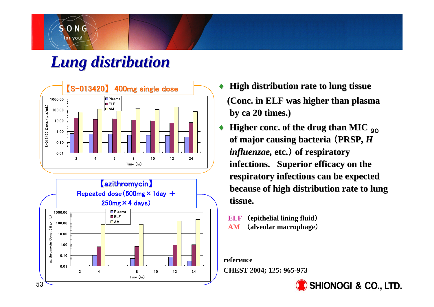# *Lung distribution Lung distribution*

SONG for you!





- ♦ **High distribution rate to lung tissue High distribution rate to lung tissue (Conc. in ELF was higher than plasma (Conc. in ELF was higher than plasma by ca 20 times.) by ca 20 times.)**
- ♦**Higher conc. of the drug than MIC 90 of major causing bacteria of major causing bacteria**  (**PRSP,** *H influenzae, influenzae,* **etc.** ) **of respiratory of respiratory**  infections. Superior efficacy on the **respiratory infections can be expected respiratory infections can be expected because of high distribution rate to lung because of high distribution rate to lung tissue. tissue.**

**ELF** (**epithelial lining fluid**) **AM**(**alveolar macrophage**)

**reference**

**CHEST 2004; 125: 965-973**

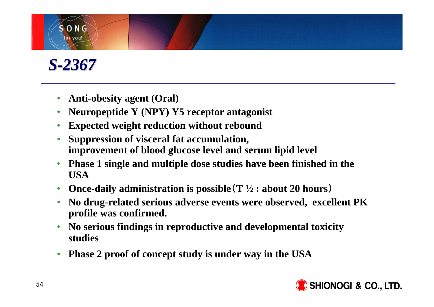# *S-2367*

 $S$  O N G for you!

- •**Anti-obesity agent (Oral)**
- •**Neuropeptide Y (NPY) Y5 receptor antagonist**
- •**Expected weight reduction without rebound**
- • **Suppression of visceral fat accumulation, improvement of blood glucose level and serum lipid level**
- • **Phase 1 single and multiple dose studies have been finished in the USA**
- •**Once-daily administration is possible**(**T ½ : about 20 hours**)
- • **No drug-related serious adverse events were observed, excellent PK profile was confirmed.**
- • **No serious findings in reproductive and developmental toxicity studies**
- •**Phase 2 proof of concept study is under way in the USA**

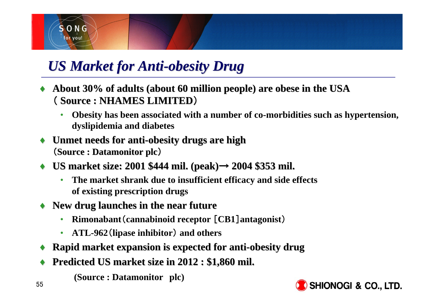

# *US Market for Anti-obesity Drug*

- $\leftrightarrow$  About 30% of adults (about 60 million people) are obese in the USA ( **Source : NHAMES LIMITED Source : NHAMES LIMITED**)
	- • **Obesity has been associated with a number of co-morbidities such as hypertension, dyslipidemia and diabetes**
- $\bullet$  Unmet needs for anti-obesity drugs are high (**Source : Datamonitor plc Source : Datamonitor plc**)
- ♦ **US market size: 2001 \$ US market size: 2001 \$444 mil. (peak) mil. (peak)**<sup>→</sup> **2004 \$353 mil.**
	- • **The market shrank due to insufficient efficacy and side effects of existing prescription drugs**
- New drug launches in the near future
	- •**Rimonabant**(**cannabinoid receptor** [**CB1**]**antagonist**)
	- $\bullet$ **ATL-962**(**lipase inhibitor**) **and others**
- ♦**Rapid market expansion is expected for anti-obesity drug**
- ♦Predicted US market size in 2012 : \$1,860 mil.
	- **(Source : Datamonitor plc)**

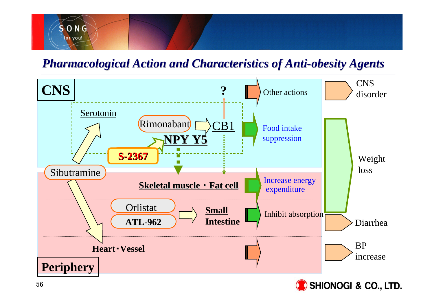

#### *Pharmacological Action and Characteristics of Anti Pharmacological Action and Characteristics of Anti-obesity Agents obesity Agents*

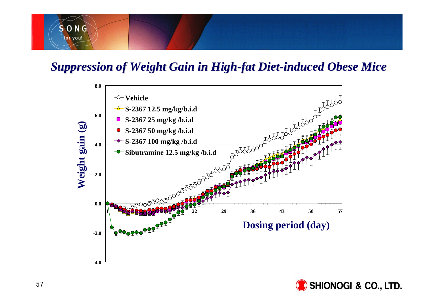# SONG for you!

#### *Suppression of Weight Gain in High Suppression of Weight Gain in High-fat Diet fat Diet-induced Obese Mice induced Obese Mice*



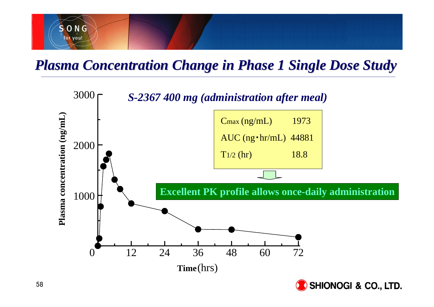

### *Plasma Concentration Change in Phase 1 Single Dose Study Plasma Concentration Change in Phase 1 Single Dose Study*

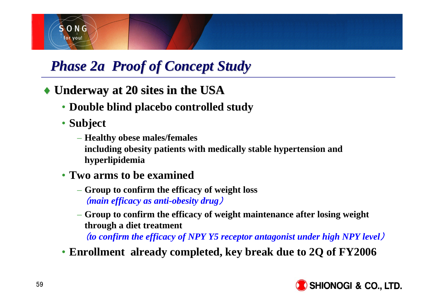

# **Phase 2a Proof of Concept Study**

♦ **Underway at 20 sites in the USA Underway at 20 sites in the USA**

- **Double blind placebo controlled study**
- **Subject**
	- **Healthy obese males/females including obesity patients with medically stable hypertension and hyperlipidemia**
- **Two arms to be examined**
	- **Group to confirm the efficacy of weight loss** (*main efficacy as anti-obesity drug*)
	- **Group to confirm the efficacy of weight maintenance after losing weight through a diet treatment**

(*to confirm the efficacy of NPY Y5 receptor antagonist under high NPY level*)

• **Enrollment already completed, key break due to 2Q of FY2006**

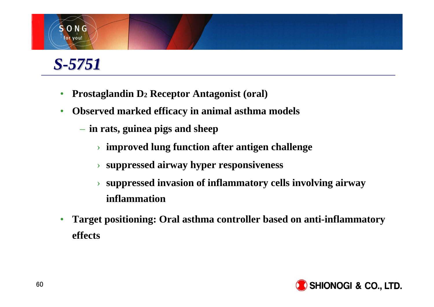# *S-5751*

SONG for you!

- •**Prostaglandin D2 Receptor Antagonist (oral)**
- • **Observed marked efficacy in animal asthma models**
	- **in rats, guinea pigs and sheep**
		- › **improved lung function after antigen challenge**
		- › **suppressed airway hyper responsiveness**
		- › **suppressed invasion of inflammatory cells involving airway inflammation**
- • **Target positioning: Oral asthma controller based on anti-inflammatory effects**

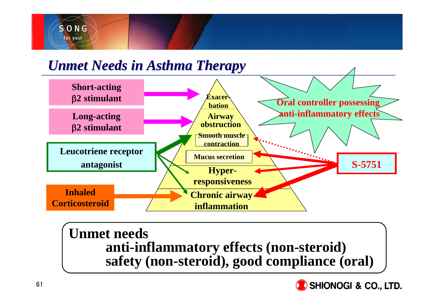

### *Unmet Needs in Asthma Therapy Unmet Needs in Asthma Therapy*



### **Unmet needs anti-inflammatory effects (non-steroid) safety (non-steroid), good compliance (oral)**

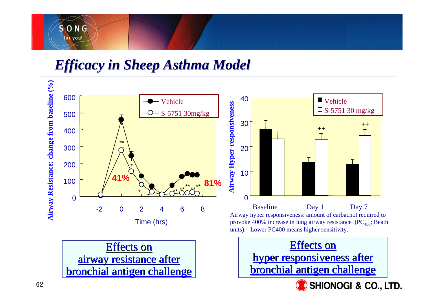

*Efficacy in Sheep Asthma Model Efficacy in Sheep Asthma Model*

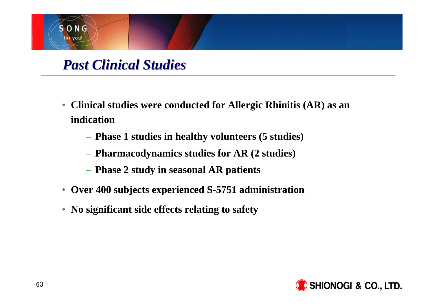

### *Past Clinical Studies Past Clinical Studies*

- **Clinical studies were conducted for Allergic Rhinitis (AR) as an indication**
	- **Phase 1 studies in healthy volunteers (5 studies)**
	- **Pharmacodynamics studies for AR (2 studies)**
	- **Phase 2 study in seasonal AR patients**
- **Over 400 subjects experienced S-5751 administration**
- **No significant side effects relating to safety**

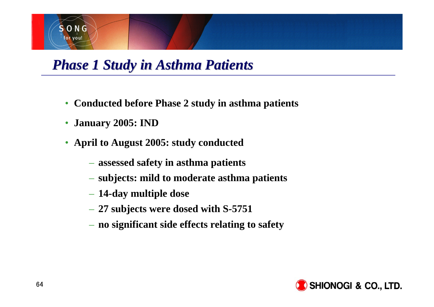

## *Phase 1 Study in Asthma Patients Phase 1 Study in Asthma Patients*

- **Conducted before Phase 2 study in asthma patients**
- $\bullet$ **January 2005: IND**
- **April to August 2005: study conducted**
	- **assessed safety in asthma patients**
	- **subjects: mild to moderate asthma patients**
	- **14-day multiple dose**
	- **27 subjects were dosed with S-5751**
	- **no significant side effects relating to safety**

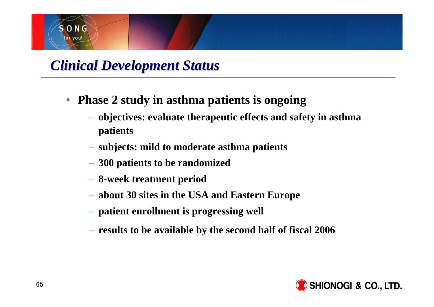

### *Clinical Development Status Clinical Development Status*

- $\bullet$  **Phase 2 study in asthma patients is ongoing**
	- **objectives: evaluate therapeutic effects and safety in asthma patients**
	- **subjects: mild to moderate asthma patients**
	- **300 patients to be randomized**
	- **8-week treatment period**
	- **about 30 sites in the USA and Eastern Europe**
	- **patient enrollment is progressing well**
	- **results to be available by the second half of fiscal 2006**

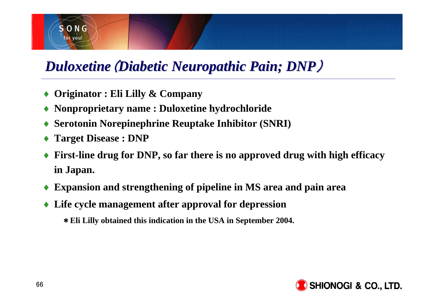

# *Duloxetine Duloxetine*(*Diabetic Neuropathic Pain Diabetic Neuropathic Pain; DNP*)

- ♦**Originator : Eli Lilly & Company**
- ♦**Nonproprietary name : Duloxetine hydrochloride**
- ♦**Serotonin Norepinephrine Reuptake Inhibitor (SNRI)**
- ♦**Target Disease : DNP**
- ♦ **First-line drug for DNP, so far there is no approved drug with high efficacy in Japan.**
- ♦**Expansion and strengthening of pipeline in MS area and pain area**
- ♦ **Life cycle management after approval for depression**
	- \***Eli Lilly obtained this indication in the USA in September 2004.**

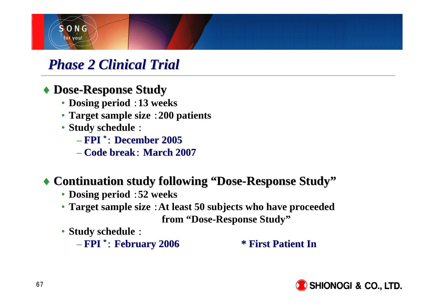

## *Phase 2 Clinical Trial Clinical Trial*

#### ♦ **Dose-Response Study Response Study**

- **Dosing period** :**13 weeks**
- **Target sample size** :**200 patients**
- **Study schedule** :
	- **FPI \***: **December 2005 December 2005**
	- **Code break Code break**: **March 2007**

### ◆ Continuation study following "Dose-Response Study"

- **Dosing period** :**52 weeks**
- **Target sample size** :**At least 50 subjects who have proceeded from "Dose-Response Study"**
- **Study schedule** :

– **FPI \***: **February 2006 February 2006 \* First Patient In \* First Patient In**

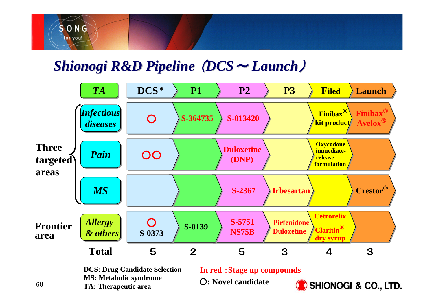

## *Shionogi R&D Pipeline Shionogi R&D Pipeline* (*DCS*<sup>~</sup> *Launch*)



**DCS: Drug Candidate Selection MS: Metabolic syndrome TA: Therapeutic area**

**In red** :**Stage up compounds**

○**: Novel candidate**

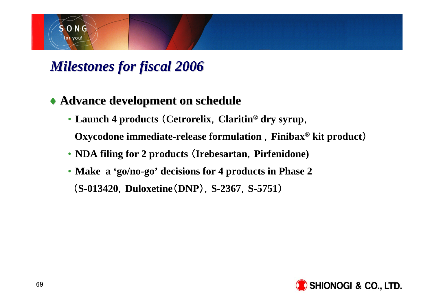

# *Milestones for fiscal Milestones for fiscal 2006*

#### ♦ **Advance development on schedule Advance development on schedule**

• **Launch 4 products** (**Cetrorelix**,**Claritin® dry syrup**,

**Oxycodone immediate-release formulation** ,**Finibax® kit product**)

- **NDA filing for 2 products** (**Irebesartan**,**Pirfenidone)**
- **Make a 'go/no-go' decisions for 4 products in Phase 2**  (**S-013420**,**Duloxetine**(**DNP**),**S-2367**,**S-5751**)

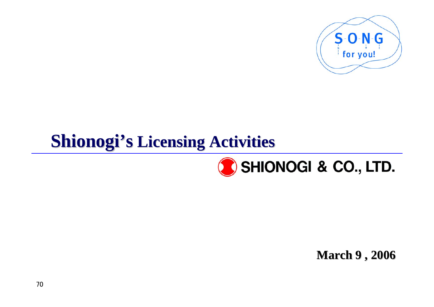

# **Shionogi's Licensing Activities**



**March 9 , 2006 March 9 , 2006**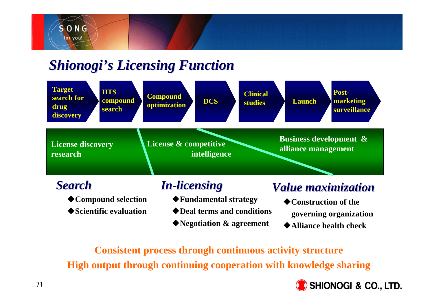

### **Shionogi's Licensing Function**



**Alliance health check**

**Consistent process through continuous activity structure High output through continuing cooperation with knowledge sharing** 

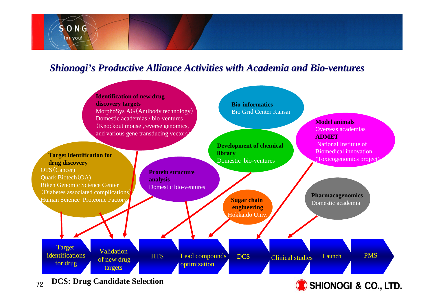

#### *Shionogi's Productive Alliance Activities with Academia and Bio-ventures*



72**DCS: Drug Candidate Selection**

**SHIONOGI & CO., LTD.**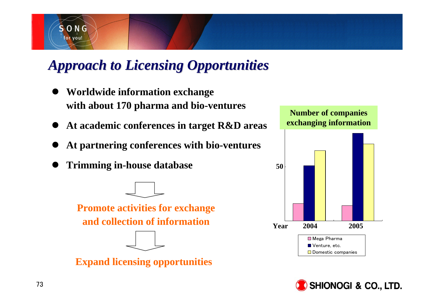

# *Approach to Licensing Opportunities Approach to Licensing Opportunities*

- $\bullet$  **Worldwide information exchange with about 170 pharma and bio-ventures**
- **At academic conferences in target R&D areas**
- $\bullet$ **At partnering conferences with bio-ventures**
- $\bullet$ **Trimming in-house database**



**Promote activities for exchange and collection of information**





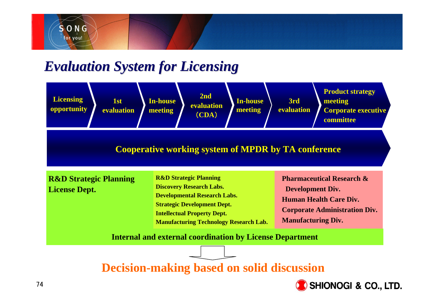

### *Evaluation System for Licensing Evaluation System for Licensing*



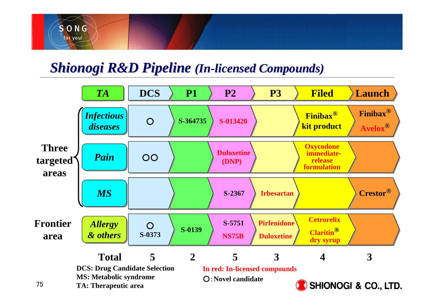

### **Shionogi R&D Pipeline (In-licensed Compounds)**

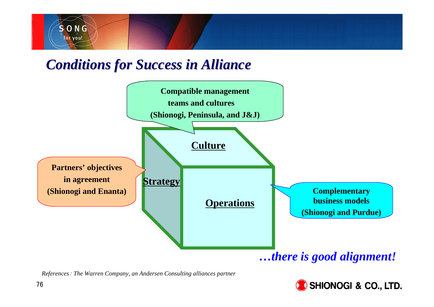

### *Conditions for Success in Alliance Conditions for Success in Alliance*



*References*: *The Warren Company, an Andersen Consulting alliances partner*

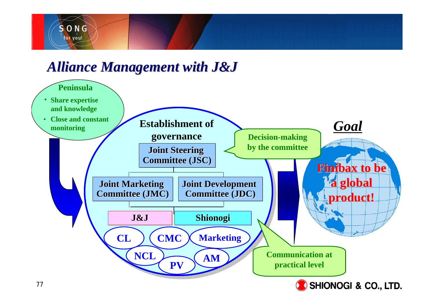

## *Alliance Management with Alliance Management with J&J*

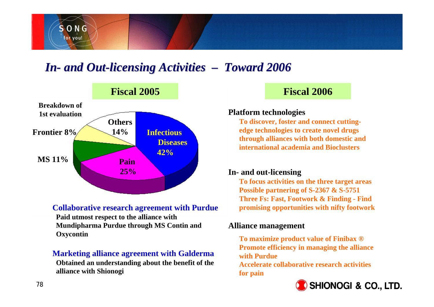

### *In-* and Out-licensing Activities – Toward 2006



#### **Collaborative research agreement with Purdue**

**Paid utmost respect to the alliance with Mundipharma Purdue through MS Contin and Oxycontin**

#### **Marketing alliance agreement with Galderma**

**Obtained an understanding about the benefit of the alliance with Shionogi**

### **Fiscal 2006**

#### **Platform technologies**

**To discover, foster and connect cuttingedge technologies to create novel drugs through alliances with both domestic and international academia and Bioclusters**

#### **In- and out-licensing**

**To focus activities on the three target areas Possible partnering of S-2367 & S-5751 Three Fs: Fast, Footwork & Finding - Find promising opportunities with nifty footwork**

#### **Alliance management**

**To maximize product value of Finibax ® Promote efficiency in managing the alliance with Purdue**

**Accelerate collaborative research activities for pain**